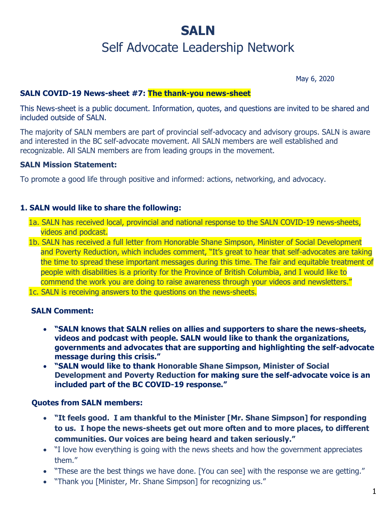# **SALN** Self Advocate Leadership Network

May 6, 2020

## **SALN COVID-19 News-sheet #7: The thank-you news-sheet**

This News-sheet is a public document. Information, quotes, and questions are invited to be shared and included outside of SALN.

The majority of SALN members are part of provincial self-advocacy and advisory groups. SALN is aware and interested in the BC self-advocate movement. All SALN members are well established and recognizable. All SALN members are from leading groups in the movement.

#### **SALN Mission Statement:**

To promote a good life through positive and informed: actions, networking, and advocacy.

### **1. SALN would like to share the following:**

- 1a. SALN has received local, provincial and national response to the SALN COVID-19 news-sheets, videos and podcast.
- 1b. SALN has received a full letter from Honorable Shane Simpson, Minister of Social Development and Poverty Reduction, which includes comment, "It's great to hear that self-advocates are taking the time to spread these important messages during this time. The fair and equitable treatment of people with disabilities is a priority for the Province of British Columbia, and I would like to commend the work you are doing to raise awareness through your videos and newsletters."
- 1c. SALN is receiving answers to the questions on the news-sheets.

#### **SALN Comment:**

- **"SALN knows that SALN relies on allies and supporters to share the news-sheets, videos and podcast with people. SALN would like to thank the organizations, governments and advocates that are supporting and highlighting the self-advocate message during this crisis."**
- **"SALN would like to thank Honorable Shane Simpson, Minister of Social Development and Poverty Reduction for making sure the self-advocate voice is an included part of the BC COVID-19 response."**

#### **Quotes from SALN members:**

- **"It feels good. I am thankful to the Minister [Mr. Shane Simpson] for responding to us. I hope the news-sheets get out more often and to more places, to different communities. Our voices are being heard and taken seriously."**
- I love how everything is going with the news sheets and how the government appreciates them."
- "These are the best things we have done. [You can see] with the response we are getting."
- "Thank you [Minister, Mr. Shane Simpson] for recognizing us."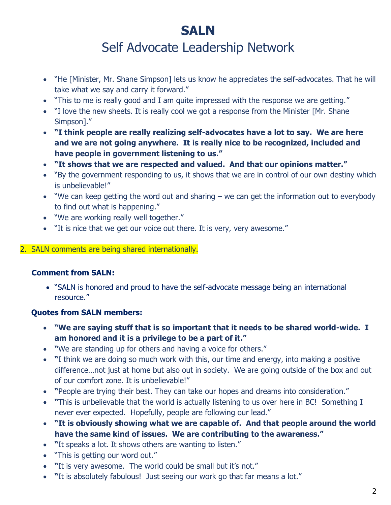# **SALN** Self Advocate Leadership Network

- "He [Minister, Mr. Shane Simpson] lets us know he appreciates the self-advocates. That he will take what we say and carry it forward."
- "This to me is really good and I am quite impressed with the response we are getting."
- "I love the new sheets. It is really cool we got a response from the Minister [Mr. Shane Simpson]."
- **"I think people are really realizing self-advocates have a lot to say. We are here and we are not going anywhere. It is really nice to be recognized, included and have people in government listening to us."**
- **"It shows that we are respected and valued. And that our opinions matter."**
- "By the government responding to us, it shows that we are in control of our own destiny which is unbelievable!"
- "We can keep getting the word out and sharing we can get the information out to everybody to find out what is happening."
- "We are working really well together."
- "It is nice that we get our voice out there. It is very, very awesome."

## 2. SALN comments are being shared internationally.

# **Comment from SALN:**

• "SALN is honored and proud to have the self-advocate message being an international resource."

# **Quotes from SALN members:**

- **"We are saying stuff that is so important that it needs to be shared world-wide. I am honored and it is a privilege to be a part of it."**
- **"**We are standing up for others and having a voice for others."
- **"**I think we are doing so much work with this, our time and energy, into making a positive difference…not just at home but also out in society. We are going outside of the box and out of our comfort zone. It is unbelievable!"
- **"**People are trying their best. They can take our hopes and dreams into consideration."
- **"**This is unbelievable that the world is actually listening to us over here in BC! Something I never ever expected. Hopefully, people are following our lead."
- **"It is obviously showing what we are capable of. And that people around the world have the same kind of issues. We are contributing to the awareness."**
- **"**It speaks a lot. It shows others are wanting to listen."
- "This is getting our word out."
- **"**It is very awesome. The world could be small but it's not."
- **"**It is absolutely fabulous! Just seeing our work go that far means a lot."